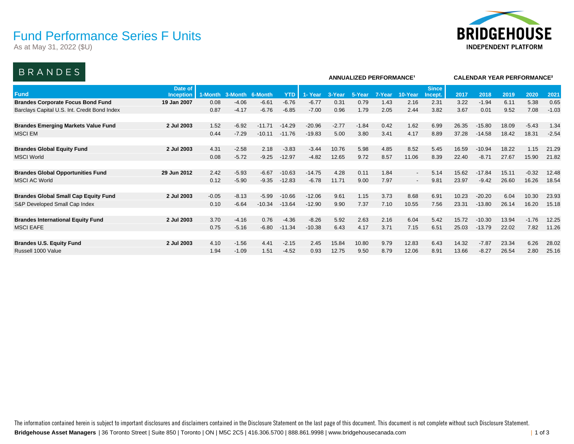### Fund Performance Series F Units

As at May 31, 2022 (\$U)



### BRANDES

| <u>DIVAINDLU</u>                             |                      |         |         |          |            |          |         | <b>ANNUALIZED PERFORMANCE<sup>1</sup></b> | <b>CALENDAR YEAR PERFORMANCE<sup>2</sup></b> |         |                         |       |          |       |         |         |
|----------------------------------------------|----------------------|---------|---------|----------|------------|----------|---------|-------------------------------------------|----------------------------------------------|---------|-------------------------|-------|----------|-------|---------|---------|
| <b>Fund</b>                                  | Date of<br>Inception | 1-Month | 3-Month | 6-Month  | <b>YTD</b> | 1- Year  | 3-Year  | 5-Year                                    | 7-Year                                       | 10-Year | <b>Since</b><br>Incept. | 2017  | 2018     | 2019  | 2020    | 202'    |
| <b>Brandes Corporate Focus Bond Fund</b>     | 19 Jan 2007          | 0.08    | $-4.06$ | $-6.61$  | $-6.76$    | $-6.77$  | 0.31    | 0.79                                      | 1.43                                         | 2.16    | 2.31                    | 3.22  | $-1.94$  | 6.11  | 5.38    | 0.65    |
| Barclays Capital U.S. Int. Credit Bond Index |                      | 0.87    | $-4.17$ | $-6.76$  | $-6.85$    | $-7.00$  | 0.96    | 1.79                                      | 2.05                                         | 2.44    | 3.82                    | 3.67  | 0.01     | 9.52  | 7.08    | $-1.03$ |
| <b>Brandes Emerging Markets Value Fund</b>   | 2 Jul 2003           | 1.52    | $-6.92$ | $-11.71$ | $-14.29$   | $-20.96$ | $-2.77$ | $-1.84$                                   | 0.42                                         | 1.62    | 6.99                    | 26.35 | $-15.80$ | 18.09 | $-5.43$ | 1.34    |
| <b>MSCI EM</b>                               |                      | 0.44    | $-7.29$ | $-10.11$ | $-11.76$   | $-19.83$ | 5.00    | 3.80                                      | 3.41                                         | 4.17    | 8.89                    | 37.28 | $-14.58$ | 18.42 | 18.31   | $-2.54$ |
| <b>Brandes Global Equity Fund</b>            | 2 Jul 2003           | 4.31    | $-2.58$ | 2.18     | $-3.83$    | $-3.44$  | 10.76   | 5.98                                      | 4.85                                         | 8.52    | 5.45                    | 16.59 | $-10.94$ | 18.22 | 1.15    | 21.29   |
| <b>MSCI World</b>                            |                      | 0.08    | $-5.72$ | $-9.25$  | $-12.97$   | $-4.82$  | 12.65   | 9.72                                      | 8.57                                         | 11.06   | 8.39                    | 22.40 | $-8.71$  | 27.67 | 15.90   | 21.82   |
| <b>Brandes Global Opportunities Fund</b>     | 29 Jun 2012          | 2.42    | $-5.93$ | $-6.67$  | $-10.63$   | $-14.75$ | 4.28    | 0.11                                      | 1.84                                         | $\sim$  | 5.14                    | 15.62 | $-17.84$ | 15.11 | $-0.32$ | 12.48   |
| <b>MSCI AC World</b>                         |                      | 0.12    | $-5.90$ | $-9.35$  | $-12.83$   | $-6.78$  | 11.71   | 9.00                                      | 7.97                                         | $\sim$  | 9.81                    | 23.97 | $-9.42$  | 26.60 | 16.26   | 18.54   |
| <b>Brandes Global Small Cap Equity Fund</b>  | 2 Jul 2003           | $-0.05$ | $-8.13$ | $-5.99$  | $-10.66$   | $-12.06$ | 9.61    | 1.15                                      | 3.73                                         | 8.68    | 6.91                    | 10.23 | $-20.20$ | 6.04  | 10.30   | 23.93   |
| S&P Developed Small Cap Index                |                      | 0.10    | $-6.64$ | $-10.34$ | $-13.64$   | $-12.90$ | 9.90    | 7.37                                      | 7.10                                         | 10.55   | 7.56                    | 23.31 | $-13.80$ | 26.14 | 16.20   | 15.18   |
| <b>Brandes International Equity Fund</b>     | 2 Jul 2003           | 3.70    | $-4.16$ | 0.76     | $-4.36$    | $-8.26$  | 5.92    | 2.63                                      | 2.16                                         | 6.04    | 5.42                    | 15.72 | $-10.30$ | 13.94 | $-1.76$ | 12.25   |
| <b>MSCI EAFE</b>                             |                      | 0.75    | $-5.16$ | $-6.80$  | $-11.34$   | $-10.38$ | 6.43    | 4.17                                      | 3.71                                         | 7.15    | 6.51                    | 25.03 | $-13.79$ | 22.02 | 7.82    | 11.26   |
| <b>Brandes U.S. Equity Fund</b>              | 2 Jul 2003           | 4.10    | $-1.56$ | 4.41     | $-2.15$    | 2.45     | 15.84   | 10.80                                     | 9.79                                         | 12.83   | 6.43                    | 14.32 | $-7.87$  | 23.34 | 6.26    | 28.02   |
| Russell 1000 Value                           |                      | 1.94    | $-1.09$ | 1.51     | $-4.52$    | 0.93     | 12.75   | 9.50                                      | 8.79                                         | 12.06   | 8.91                    | 13.66 | $-8.27$  | 26.54 | 2.80    | 25.16   |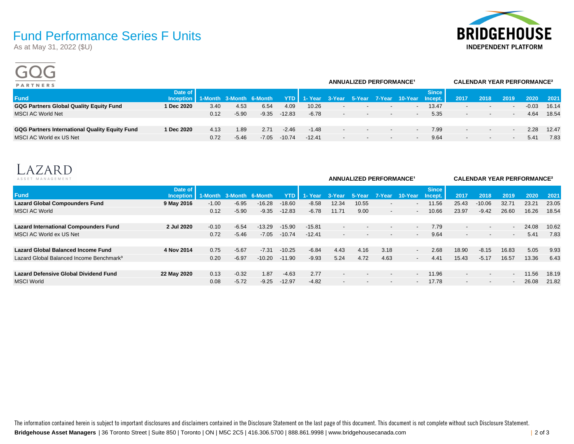# **BRIDGEHOUSE INDEPENDENT PLATFORM**

## Fund Performance Series F Units

As at May 31, 2022 (\$U)

 $\sim$   $\sim$   $\sim$ 

| <b>PARTNERS</b>                                       |                                              |      |         | ANNUALIZED PERFORMANCE <sup>1</sup> |          |          | <b>CALENDAR YEAR PERFORMANCE<sup>2</sup></b> |                          |                          |                                                  |              |                          |                          |                          |         |       |
|-------------------------------------------------------|----------------------------------------------|------|---------|-------------------------------------|----------|----------|----------------------------------------------|--------------------------|--------------------------|--------------------------------------------------|--------------|--------------------------|--------------------------|--------------------------|---------|-------|
| <b>Fund</b>                                           | Date of<br>Inception 1-Month 3-Month 6-Month |      |         |                                     |          |          |                                              |                          |                          | YTD 1- Year 3-Year 5-Year 7-Year 10-Year Incept. | <b>Since</b> | 2017                     | 2018                     | 2019                     | 2020    | 2021  |
| <b>GQG Partners Global Quality Equity Fund</b>        | 1 Dec 2020                                   | 3.40 | 4.53    | 6.54                                | 4.09     | 10.26    | $\overline{\phantom{0}}$                     | $\overline{\phantom{a}}$ | $\sim$                   | $\overline{\phantom{a}}$                         | 13.47        | $\overline{\phantom{0}}$ | $\overline{\phantom{a}}$ | $\overline{\phantom{a}}$ | $-0.03$ | 16.14 |
| MSCI AC World Net                                     |                                              | 0.12 | $-5.90$ | $-9.35$                             | $-12.83$ | $-6.78$  | $\overline{\phantom{0}}$                     | $\sim$                   | $\overline{\phantom{a}}$ | $\overline{\phantom{a}}$                         | 5.35         | $\overline{\phantom{0}}$ | $\overline{\phantom{a}}$ | $\overline{\phantom{a}}$ | 4.64    | 18.54 |
|                                                       |                                              |      |         |                                     |          |          |                                              |                          |                          |                                                  |              |                          |                          |                          |         |       |
| <b>GQG Partners International Quality Equity Fund</b> | 1 Dec 2020                                   | 4.13 | 1.89    | 2.71                                | $-2.46$  | $-1.48$  | $\sim$                                       | $\sim$                   | $\sim$                   | $\overline{a}$                                   | 7.99         | $\sim$                   | $\overline{\phantom{a}}$ | $\overline{\phantom{a}}$ | 2.28    | 12.47 |
| MSCI AC World ex US Net                               |                                              | 0.72 | $-5.46$ | $-7.05$                             | $-10.74$ | $-12.41$ | $\overline{\phantom{0}}$                     | $\sim$                   | $\overline{\phantom{a}}$ | $\overline{\phantom{a}}$                         | 9.64         | $\overline{\phantom{a}}$ | $\overline{\phantom{a}}$ | $\overline{\phantom{a}}$ | 5.41    | 7.83  |
|                                                       |                                              |      |         |                                     |          |          |                                              |                          |                          |                                                  |              |                          |                          |                          |         |       |



| ASSET MANAGEMENT                                     |                             |         |                         | <b>ANNUALIZED PERFORMANCE<sup>1</sup></b> |            | <b>CALENDAR YEAR PERFORMANCE<sup>2</sup></b> |                          |                          |                          |                          |                         |                          |                          |                          |       |       |
|------------------------------------------------------|-----------------------------|---------|-------------------------|-------------------------------------------|------------|----------------------------------------------|--------------------------|--------------------------|--------------------------|--------------------------|-------------------------|--------------------------|--------------------------|--------------------------|-------|-------|
| <b>Fund</b>                                          | Date of<br><b>Inception</b> |         | 1-Month 3-Month 6-Month |                                           | <b>YTD</b> | 1- Year                                      | 3-Year                   | ' 5-Year                 | Z-Year⊿                  | 10-Year                  | <b>Since</b><br>Incept. | 2017                     | 2018                     | 2019                     | 2020  | 2021  |
| <b>Lazard Global Compounders Fund</b>                | 9 May 2016                  | $-1.00$ | $-6.95$                 | $-16.28$                                  | $-18.60$   | $-8.58$                                      | 12.34                    | 10.55                    | $\overline{\phantom{a}}$ | $\overline{\phantom{0}}$ | 11.56                   | 25.43                    | $-10.06$                 | 32.71                    | 23.21 | 23.05 |
| <b>MSCI AC World</b>                                 |                             | 0.12    | $-5.90$                 | $-9.35$                                   | $-12.83$   | $-6.78$                                      | 11.71                    | 9.00                     | $\overline{\phantom{a}}$ | $\sim$                   | 10.66                   | 23.97                    | $-9.42$                  | 26.60                    | 16.26 | 18.54 |
|                                                      |                             |         |                         |                                           |            |                                              |                          |                          |                          |                          |                         |                          |                          |                          |       |       |
| <b>Lazard International Compounders Fund</b>         | 2 Jul 2020                  | $-0.10$ | $-6.54$                 | $-13.29$                                  | $-15.90$   | $-15.81$                                     | $\overline{\phantom{0}}$ | $\overline{\phantom{a}}$ | $\overline{\phantom{a}}$ | $\overline{\phantom{a}}$ | 7.79                    | $\overline{\phantom{0}}$ | $\overline{\phantom{a}}$ | $\overline{\phantom{a}}$ | 24.08 | 10.62 |
| MSCI AC World ex US Net                              |                             | 0.72    | $-5.46$                 | $-7.05$                                   | $-10.74$   | $-12.41$                                     | $\overline{\phantom{a}}$ | $\overline{\phantom{a}}$ |                          | $\overline{\phantom{a}}$ | 9.64                    | $\overline{\phantom{a}}$ | $\overline{\phantom{a}}$ | $\sim$                   | 5.41  | 7.83  |
|                                                      |                             |         |                         |                                           |            |                                              |                          |                          |                          |                          |                         |                          |                          |                          |       |       |
| Lazard Global Balanced Income Fund                   | 4 Nov 2014                  | 0.75    | $-5.67$                 | $-7.31$                                   | $-10.25$   | $-6.84$                                      | 4.43                     | 4.16                     | 3.18                     | $\sim$                   | 2.68                    | 18.90                    | $-8.15$                  | 16.83                    | 5.05  | 9.93  |
| Lazard Global Balanced Income Benchmark <sup>3</sup> |                             | 0.20    | $-6.97$                 | $-10.20$                                  | $-11.90$   | $-9.93$                                      | 5.24                     | 4.72                     | 4.63                     | $\sim$                   | 4.41                    | 15.43                    | $-5.17$                  | 16.57                    | 13.36 | 6.43  |
|                                                      |                             |         |                         |                                           |            |                                              |                          |                          |                          |                          |                         |                          |                          |                          |       |       |
| <b>Lazard Defensive Global Dividend Fund</b>         | 22 May 2020                 | 0.13    | $-0.32$                 | 1.87                                      | $-4.63$    | 2.77                                         | $\overline{\phantom{0}}$ | $\overline{\phantom{0}}$ | $\overline{\phantom{a}}$ | $\overline{\phantom{a}}$ | 11.96                   | $\overline{\phantom{0}}$ | $\overline{\phantom{a}}$ | $\overline{\phantom{a}}$ | 11.56 | 18.19 |
| <b>MSCI World</b>                                    |                             | 0.08    | $-5.72$                 | $-9.25$                                   | $-12.97$   | $-4.82$                                      | $\overline{\phantom{0}}$ |                          |                          | $\overline{\phantom{a}}$ | 17.78                   |                          |                          | $\overline{\phantom{a}}$ | 26.08 | 21.82 |
|                                                      |                             |         |                         |                                           |            |                                              |                          |                          |                          |                          |                         |                          |                          |                          |       |       |